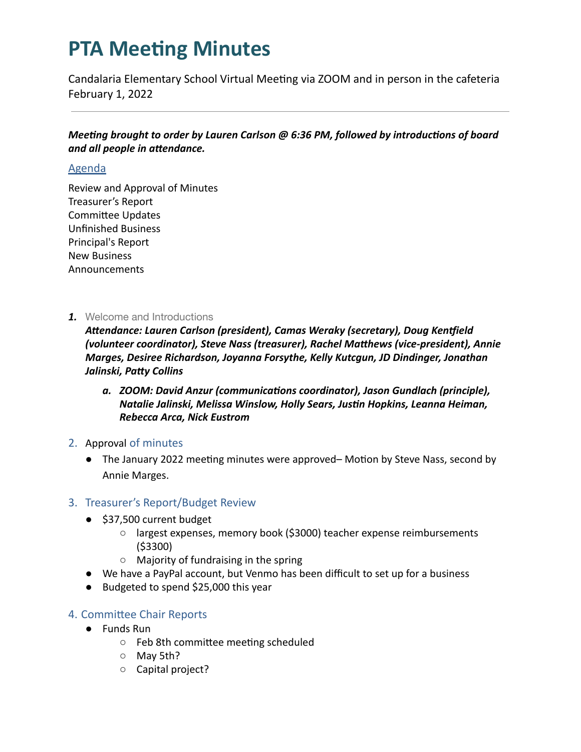Candalaria Elementary School Virtual Meeting via ZOOM and in person in the cafeteria February 1, 2022

*Meeting brought to order by Lauren Carlson @ 6:36 PM, followed by introductions of board and all people in attendance.* 

#### Agenda

Review and Approval of Minutes Treasurer's Report Committee Updates Unfinished Business Principal's Report New Business Announcements

*1.* Welcome and Introductions

Attendance: Lauren Carlson (president), Camas Weraky (secretary), Doug Kentfield (volunteer coordinator), Steve Nass (treasurer), Rachel Matthews (vice-president), Annie *Marges, Desiree Richardson, Joyanna Forsythe, Kelly Kutcgun, JD Dindinger, Jonathan* Jalinski, Patty Collins

- *a. ZOOM: David Anzur (communicaons coordinator), Jason Gundlach (principle), Natalie Jalinski, Melissa Winslow, Holly Sears, Jusn Hopkins, Leanna Heiman, Rebecca Arca, Nick Eustrom*
- 2. Approval of minutes
	- The January 2022 meeting minutes were approved– Motion by Steve Nass, second by Annie Marges.

### 3. Treasurer's Report/Budget Review

- \$37,500 current budget
	- largest expenses, memory book (\$3000) teacher expense reimbursements (\$3300)
	- Majority of fundraising in the spring
- We have a PayPal account, but Venmo has been difficult to set up for a business
- Budgeted to spend \$25,000 this year

### 4. Committee Chair Reports

- Funds Run
	- $\circ$  Feb 8th committee meeting scheduled
	- May 5th?
	- Capital project?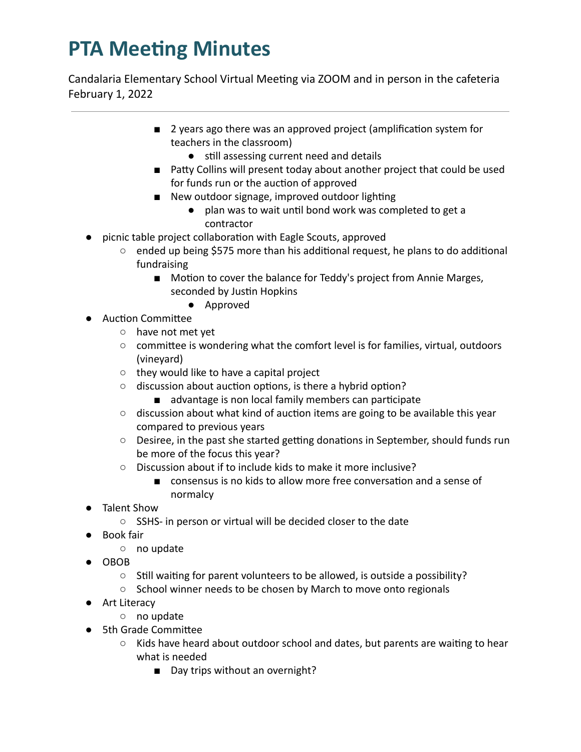Candalaria Elementary School Virtual Meeting via ZOOM and in person in the cafeteria February 1, 2022

- 2 years ago there was an approved project (amplification system for teachers in the classroom)
	- still assessing current need and details
- Patty Collins will present today about another project that could be used for funds run or the auction of approved
- New outdoor signage, improved outdoor lighting
	- plan was to wait until bond work was completed to get a contractor
- picnic table project collaboration with Eagle Scouts, approved
	- $\circ$  ended up being \$575 more than his additional request, he plans to do additional fundraising
		- Motion to cover the balance for Teddy's project from Annie Marges, seconded by Justin Hopkins
			- Approved
- Auction Committee
	- have not met yet
	- $\circ$  committee is wondering what the comfort level is for families, virtual, outdoors (vineyard)
	- they would like to have a capital project
	- $\circ$  discussion about auction options, is there a hybrid option?
		- advantage is non local family members can participate
	- $\circ$  discussion about what kind of auction items are going to be available this year compared to previous years
	- $\circ$  Desiree, in the past she started getting donations in September, should funds run be more of the focus this year?
	- Discussion about if to include kids to make it more inclusive?
		- consensus is no kids to allow more free conversation and a sense of normalcy
- Talent Show
	- SSHS- in person or virtual will be decided closer to the date
- Book fair
	- no update
- OBOB
	- Still waiting for parent volunteers to be allowed, is outside a possibility?
	- School winner needs to be chosen by March to move onto regionals
- Art Literacy
	- no update
- 5th Grade Committee
	- $\circ$  Kids have heard about outdoor school and dates, but parents are waiting to hear what is needed
		- Day trips without an overnight?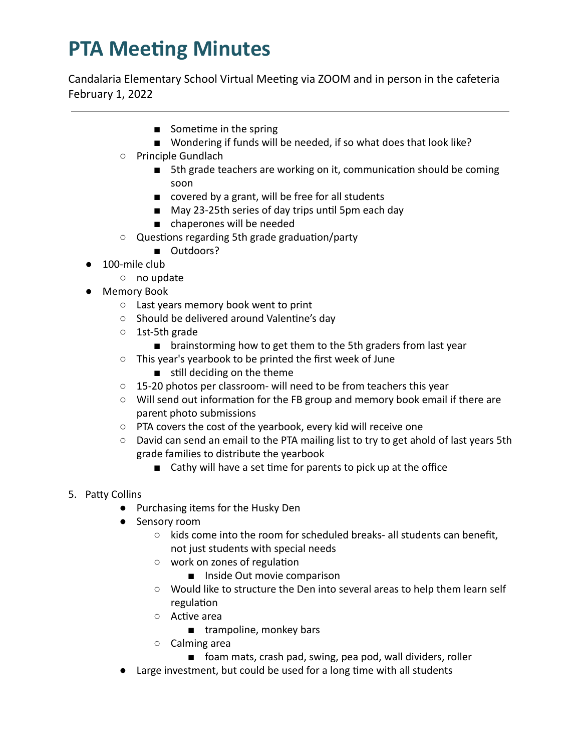Candalaria Elementary School Virtual Meeting via ZOOM and in person in the cafeteria February 1, 2022

- Sometime in the spring
- Wondering if funds will be needed, if so what does that look like?
- Principle Gundlach
	- 5th grade teachers are working on it, communication should be coming soon
	- covered by a grant, will be free for all students
	- May 23-25th series of day trips until 5pm each day
	- chaperones will be needed
- Questions regarding 5th grade graduation/party
	- Outdoors?
- 100-mile club
	- no update
- Memory Book
	- Last years memory book went to print
	- Should be delivered around Valentine's day
	- 1st-5th grade
		- brainstorming how to get them to the 5th graders from last year
	- This year's yearbook to be printed the first week of June
		- $\blacksquare$  still deciding on the theme
	- 15-20 photos per classroom- will need to be from teachers this year
	- $\circ$  Will send out information for the FB group and memory book email if there are parent photo submissions
	- PTA covers the cost of the yearbook, every kid will receive one
	- $\circ$  David can send an email to the PTA mailing list to try to get ahold of last years 5th grade families to distribute the yearbook
		- Cathy will have a set time for parents to pick up at the office
- 5. Patty Collins
	- Purchasing items for the Husky Den
	- Sensory room
		- kids come into the room for scheduled breaks- all students can benefit, not just students with special needs
		- work on zones of regulation
			- Inside Out movie comparison
		- Would like to structure the Den into several areas to help them learn self regulation
		- $\circ$  Active area
			- trampoline, monkey bars
		- Calming area
			- foam mats, crash pad, swing, pea pod, wall dividers, roller
	- Large investment, but could be used for a long time with all students